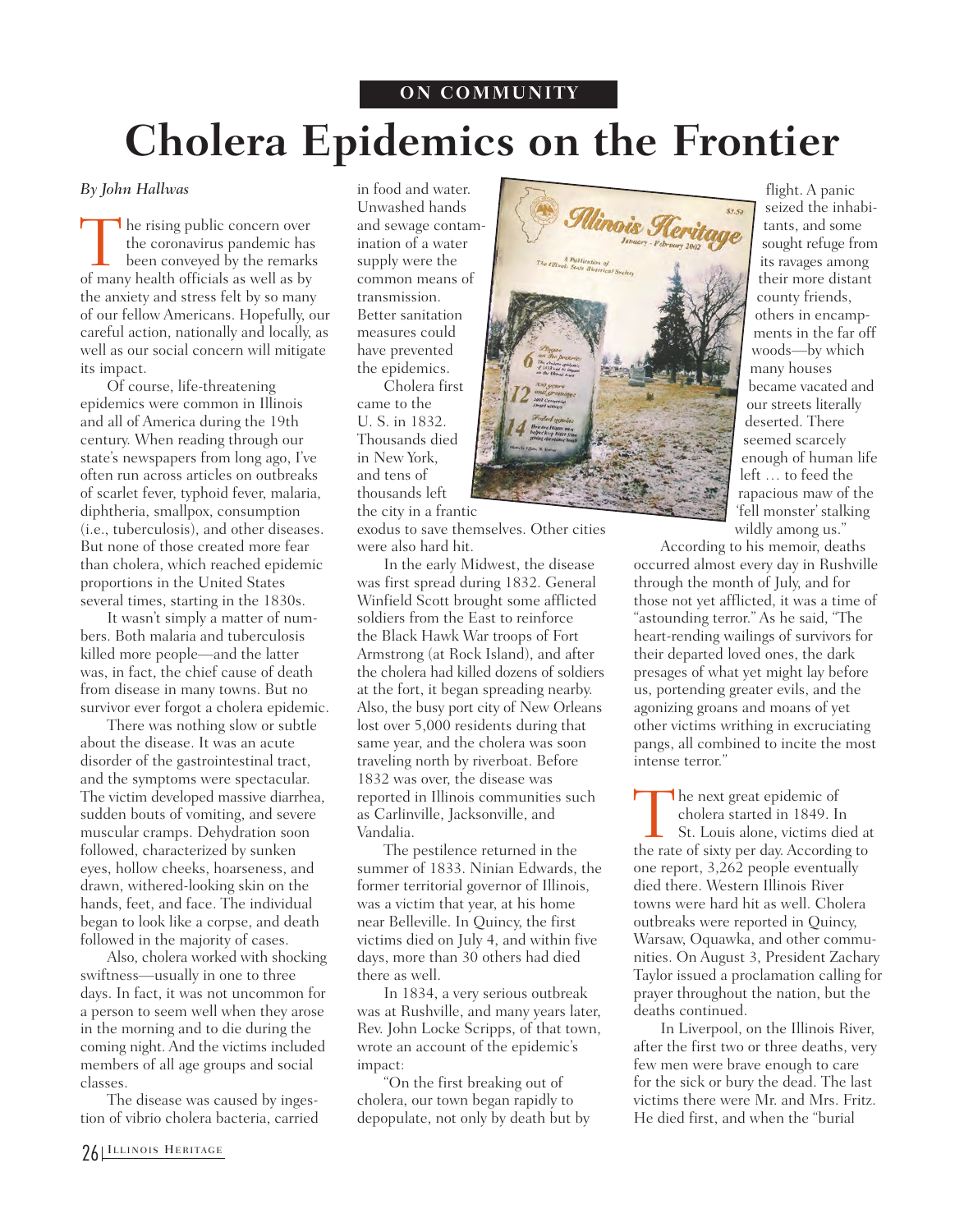## **ON COMMUNITY**

## **Cholera Epidemics on the Frontier**

## *By John Hallwas*

The rising public concern over<br>the coronavirus pandemic has<br>been conveyed by the remark<br>of many health officials as well as by the coronavirus pandemic has been conveyed by the remarks of many health officials as well as by the anxiety and stress felt by so many of our fellow Americans. Hopefully, our careful action, nationally and locally, as well as our social concern will mitigate its impact.

Of course, life-threatening epidemics were common in Illinois and all of America during the 19th century. When reading through our state's newspapers from long ago, I've often run across articles on outbreaks of scarlet fever, typhoid fever, malaria, diphtheria, smallpox, consumption (i.e., tuberculosis), and other diseases. But none of those created more fear than cholera, which reached epidemic proportions in the United States several times, starting in the 1830s.

It wasn't simply a matter of numbers. Both malaria and tuberculosis killed more people—and the latter was, in fact, the chief cause of death from disease in many towns. But no survivor ever forgot a cholera epidemic.

There was nothing slow or subtle about the disease. It was an acute disorder of the gastrointestinal tract, and the symptoms were spectacular. The victim developed massive diarrhea, sudden bouts of vomiting, and severe muscular cramps. Dehydration soon followed, characterized by sunken eyes, hollow cheeks, hoarseness, and drawn, withered-looking skin on the hands, feet, and face. The individual began to look like a corpse, and death followed in the majority of cases.

Also, cholera worked with shocking swiftness—usually in one to three days. In fact, it was not uncommon for a person to seem well when they arose in the morning and to die during the coming night. And the victims included members of all age groups and social classes.

The disease was caused by ingestion of vibrio cholera bacteria, carried in food and water. Unwashed hands and sewage contamination of a water supply were the common means of transmission. Better sanitation measures could have prevented the epidemics.

Cholera first came to the U. S. in 1832. Thousands died in New York, and tens of thousands left the city in a frantic

exodus to save themselves. Other cities were also hard hit.

In the early Midwest, the disease was first spread during 1832. General Winfield Scott brought some afflicted soldiers from the East to reinforce the Black Hawk War troops of Fort Armstrong (at Rock Island), and after the cholera had killed dozens of soldiers at the fort, it began spreading nearby. Also, the busy port city of New Orleans lost over 5,000 residents during that same year, and the cholera was soon traveling north by riverboat. Before 1832 was over, the disease was reported in Illinois communities such as Carlinville, Jacksonville, and Vandalia.

The pestilence returned in the summer of 1833. Ninian Edwards, the former territorial governor of Illinois, was a victim that year, at his home near Belleville. In Quincy, the first victims died on July 4, and within five days, more than 30 others had died there as well.

In 1834, a very serious outbreak was at Rushville, and many years later, Rev. John Locke Scripps, of that town, wrote an account of the epidemic's impact:

"On the first breaking out of cholera, our town began rapidly to depopulate, not only by death but by



flight. A panic seized the inhabitants, and some sought refuge from its ravages among their more distant county friends, others in encampments in the far off woods—by which many houses became vacated and our streets literally deserted. There seemed scarcely enough of human life left … to feed the rapacious maw of the 'fell monster' stalking wildly among us."

According to his memoir, deaths occurred almost every day in Rushville through the month of July, and for those not yet afflicted, it was a time of "astounding terror." As he said, "The heart-rending wailings of survivors for their departed loved ones, the dark presages of what yet might lay before us, portending greater evils, and the agonizing groans and moans of yet other victims writhing in excruciating pangs, all combined to incite the most intense terror."

The next great epidemic of<br>cholera started in 1849. I<br>St. Louis alone, victims d<br>the rate of sixty per day Accordi cholera started in 1849. In St. Louis alone, victims died at the rate of sixty per day. According to one report, 3,262 people eventually died there. Western Illinois River towns were hard hit as well. Cholera outbreaks were reported in Quincy, Warsaw, Oquawka, and other communities. On August 3, President Zachary Taylor issued a proclamation calling for prayer throughout the nation, but the deaths continued.

In Liverpool, on the Illinois River, after the first two or three deaths, very few men were brave enough to care for the sick or bury the dead. The last victims there were Mr. and Mrs. Fritz. He died first, and when the "burial